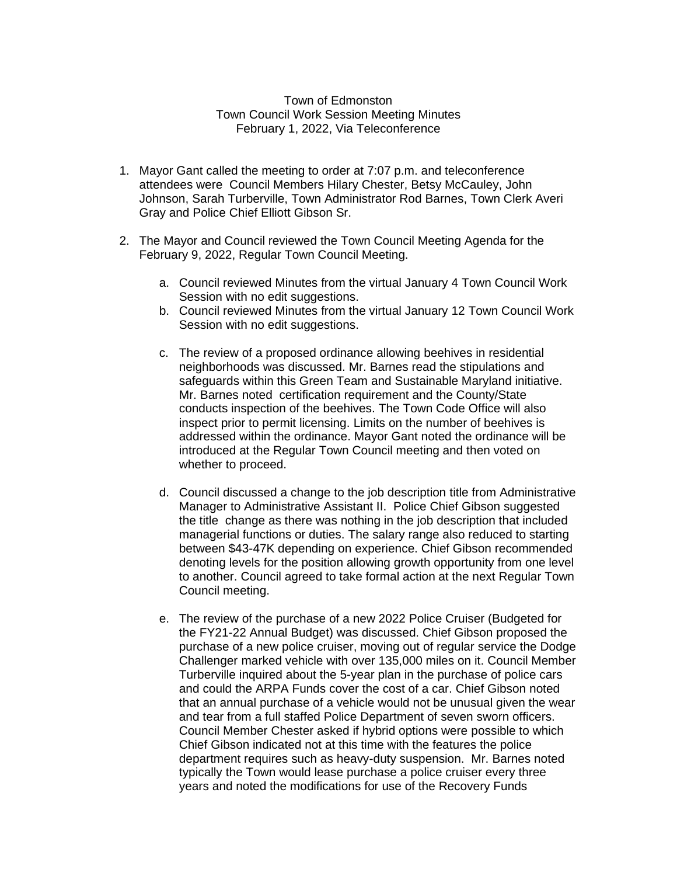## Town of Edmonston Town Council Work Session Meeting Minutes February 1, 2022, Via Teleconference

- 1. Mayor Gant called the meeting to order at 7:07 p.m. and teleconference attendees were Council Members Hilary Chester, Betsy McCauley, John Johnson, Sarah Turberville, Town Administrator Rod Barnes, Town Clerk Averi Gray and Police Chief Elliott Gibson Sr.
- 2. The Mayor and Council reviewed the Town Council Meeting Agenda for the February 9, 2022, Regular Town Council Meeting.
	- a. Council reviewed Minutes from the virtual January 4 Town Council Work Session with no edit suggestions.
	- b. Council reviewed Minutes from the virtual January 12 Town Council Work Session with no edit suggestions.
	- c. The review of a proposed ordinance allowing beehives in residential neighborhoods was discussed. Mr. Barnes read the stipulations and safeguards within this Green Team and Sustainable Maryland initiative. Mr. Barnes noted certification requirement and the County/State conducts inspection of the beehives. The Town Code Office will also inspect prior to permit licensing. Limits on the number of beehives is addressed within the ordinance. Mayor Gant noted the ordinance will be introduced at the Regular Town Council meeting and then voted on whether to proceed.
	- d. Council discussed a change to the job description title from Administrative Manager to Administrative Assistant II. Police Chief Gibson suggested the title change as there was nothing in the job description that included managerial functions or duties. The salary range also reduced to starting between \$43-47K depending on experience. Chief Gibson recommended denoting levels for the position allowing growth opportunity from one level to another. Council agreed to take formal action at the next Regular Town Council meeting.
	- e. The review of the purchase of a new 2022 Police Cruiser (Budgeted for the FY21-22 Annual Budget) was discussed. Chief Gibson proposed the purchase of a new police cruiser, moving out of regular service the Dodge Challenger marked vehicle with over 135,000 miles on it. Council Member Turberville inquired about the 5-year plan in the purchase of police cars and could the ARPA Funds cover the cost of a car. Chief Gibson noted that an annual purchase of a vehicle would not be unusual given the wear and tear from a full staffed Police Department of seven sworn officers. Council Member Chester asked if hybrid options were possible to which Chief Gibson indicated not at this time with the features the police department requires such as heavy-duty suspension. Mr. Barnes noted typically the Town would lease purchase a police cruiser every three years and noted the modifications for use of the Recovery Funds